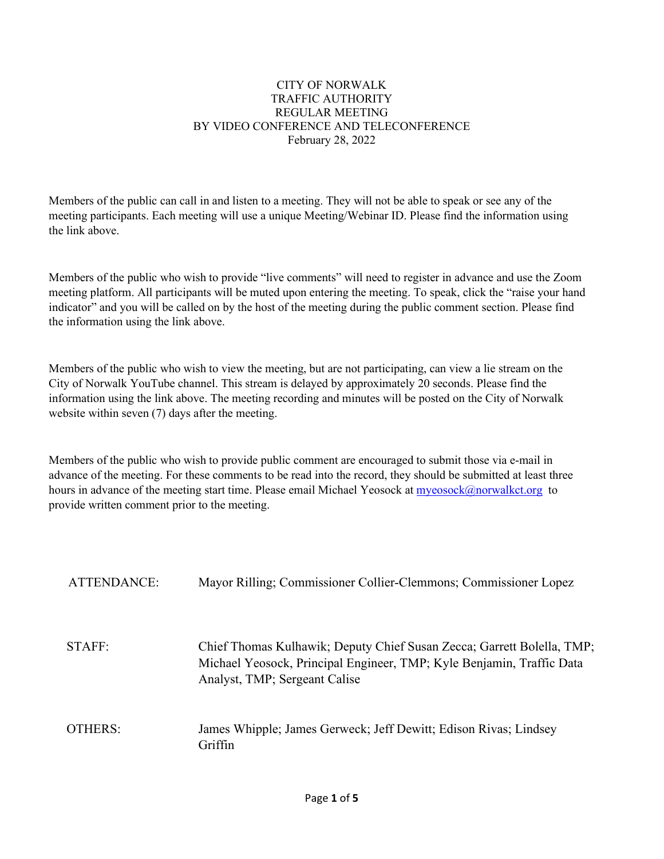### CITY OF NORWALK TRAFFIC AUTHORITY REGULAR MEETING BY VIDEO CONFERENCE AND TELECONFERENCE February 28, 2022

Members of the public can call in and listen to a meeting. They will not be able to speak or see any of the meeting participants. Each meeting will use a unique Meeting/Webinar ID. Please find the information using the link above.

Members of the public who wish to provide "live comments" will need to register in advance and use the Zoom meeting platform. All participants will be muted upon entering the meeting. To speak, click the "raise your hand indicator" and you will be called on by the host of the meeting during the public comment section. Please find the information using the link above.

Members of the public who wish to view the meeting, but are not participating, can view a lie stream on the City of Norwalk YouTube channel. This stream is delayed by approximately 20 seconds. Please find the information using the link above. The meeting recording and minutes will be posted on the City of Norwalk website within seven (7) days after the meeting.

Members of the public who wish to provide public comment are encouraged to submit those via e-mail in advance of the meeting. For these comments to be read into the record, they should be submitted at least three hours in advance of the meeting start time. Please email Michael Yeosock at [myeosock@norwalkct.org](mailto:myeosock@norwalkct.org) to provide written comment prior to the meeting.

| <b>ATTENDANCE:</b> | Mayor Rilling; Commissioner Collier-Clemmons; Commissioner Lopez                                                                                                                 |
|--------------------|----------------------------------------------------------------------------------------------------------------------------------------------------------------------------------|
| STAFF:             | Chief Thomas Kulhawik; Deputy Chief Susan Zecca; Garrett Bolella, TMP;<br>Michael Yeosock, Principal Engineer, TMP; Kyle Benjamin, Traffic Data<br>Analyst, TMP; Sergeant Calise |
| OTHERS:            | James Whipple; James Gerweck; Jeff Dewitt; Edison Rivas; Lindsey<br>Griffin                                                                                                      |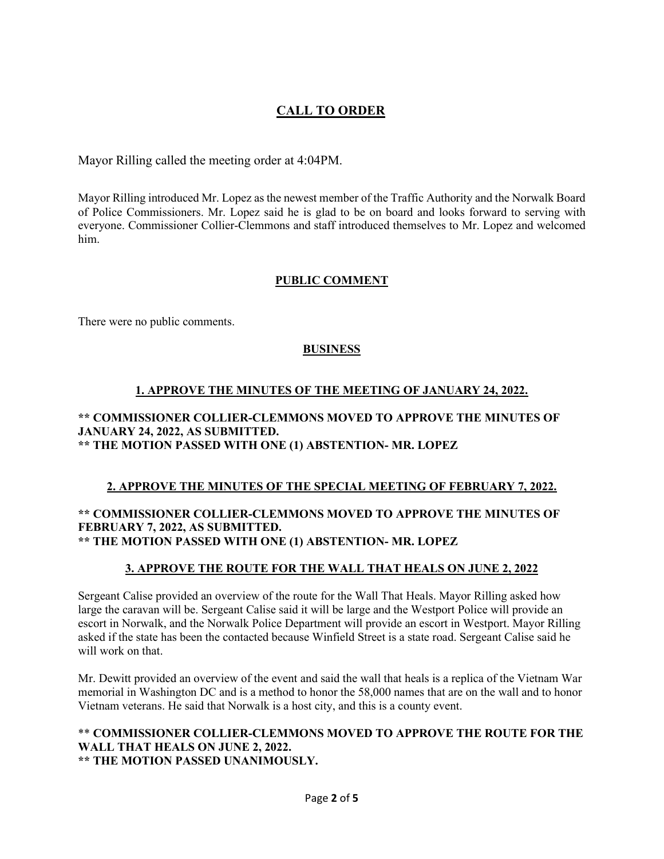# **CALL TO ORDER**

Mayor Rilling called the meeting order at 4:04PM.

Mayor Rilling introduced Mr. Lopez as the newest member of the Traffic Authority and the Norwalk Board of Police Commissioners. Mr. Lopez said he is glad to be on board and looks forward to serving with everyone. Commissioner Collier-Clemmons and staff introduced themselves to Mr. Lopez and welcomed him.

# **PUBLIC COMMENT**

There were no public comments.

# **BUSINESS**

# **1. APPROVE THE MINUTES OF THE MEETING OF JANUARY 24, 2022.**

#### **\*\* COMMISSIONER COLLIER-CLEMMONS MOVED TO APPROVE THE MINUTES OF JANUARY 24, 2022, AS SUBMITTED. \*\* THE MOTION PASSED WITH ONE (1) ABSTENTION- MR. LOPEZ**

# **2. APPROVE THE MINUTES OF THE SPECIAL MEETING OF FEBRUARY 7, 2022.**

### **\*\* COMMISSIONER COLLIER-CLEMMONS MOVED TO APPROVE THE MINUTES OF FEBRUARY 7, 2022, AS SUBMITTED. \*\* THE MOTION PASSED WITH ONE (1) ABSTENTION- MR. LOPEZ**

# **3. APPROVE THE ROUTE FOR THE WALL THAT HEALS ON JUNE 2, 2022**

Sergeant Calise provided an overview of the route for the Wall That Heals. Mayor Rilling asked how large the caravan will be. Sergeant Calise said it will be large and the Westport Police will provide an escort in Norwalk, and the Norwalk Police Department will provide an escort in Westport. Mayor Rilling asked if the state has been the contacted because Winfield Street is a state road. Sergeant Calise said he will work on that.

Mr. Dewitt provided an overview of the event and said the wall that heals is a replica of the Vietnam War memorial in Washington DC and is a method to honor the 58,000 names that are on the wall and to honor Vietnam veterans. He said that Norwalk is a host city, and this is a county event.

#### \*\* **COMMISSIONER COLLIER-CLEMMONS MOVED TO APPROVE THE ROUTE FOR THE WALL THAT HEALS ON JUNE 2, 2022. \*\* THE MOTION PASSED UNANIMOUSLY.**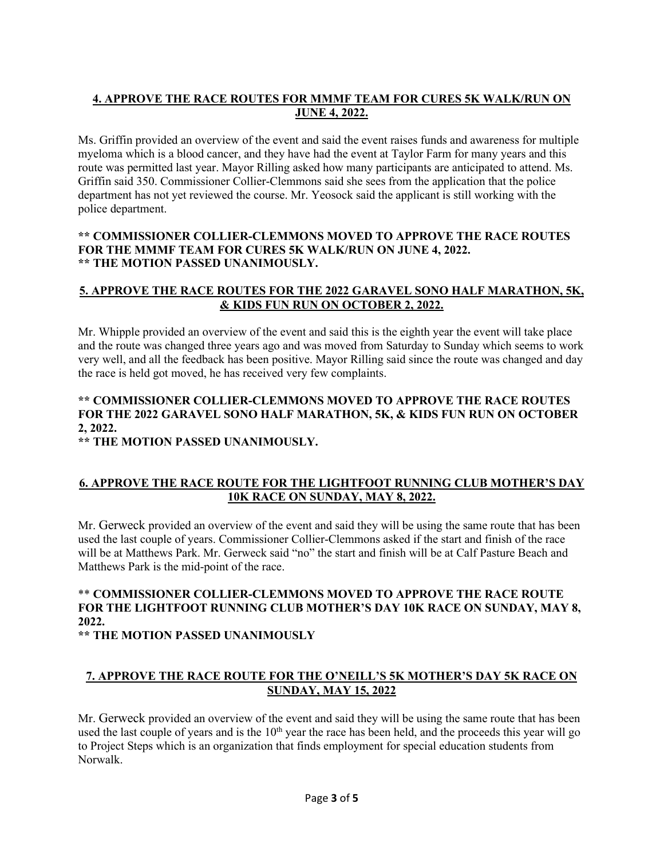# **4. APPROVE THE RACE ROUTES FOR MMMF TEAM FOR CURES 5K WALK/RUN ON JUNE 4, 2022.**

Ms. Griffin provided an overview of the event and said the event raises funds and awareness for multiple myeloma which is a blood cancer, and they have had the event at Taylor Farm for many years and this route was permitted last year. Mayor Rilling asked how many participants are anticipated to attend. Ms. Griffin said 350. Commissioner Collier-Clemmons said she sees from the application that the police department has not yet reviewed the course. Mr. Yeosock said the applicant is still working with the police department.

### **\*\* COMMISSIONER COLLIER-CLEMMONS MOVED TO APPROVE THE RACE ROUTES FOR THE MMMF TEAM FOR CURES 5K WALK/RUN ON JUNE 4, 2022. \*\* THE MOTION PASSED UNANIMOUSLY.**

# **5. APPROVE THE RACE ROUTES FOR THE 2022 GARAVEL SONO HALF MARATHON, 5K, & KIDS FUN RUN ON OCTOBER 2, 2022.**

Mr. Whipple provided an overview of the event and said this is the eighth year the event will take place and the route was changed three years ago and was moved from Saturday to Sunday which seems to work very well, and all the feedback has been positive. Mayor Rilling said since the route was changed and day the race is held got moved, he has received very few complaints.

# **\*\* COMMISSIONER COLLIER-CLEMMONS MOVED TO APPROVE THE RACE ROUTES FOR THE 2022 GARAVEL SONO HALF MARATHON, 5K, & KIDS FUN RUN ON OCTOBER 2, 2022.**

**\*\* THE MOTION PASSED UNANIMOUSLY.**

# **6. APPROVE THE RACE ROUTE FOR THE LIGHTFOOT RUNNING CLUB MOTHER'S DAY 10K RACE ON SUNDAY, MAY 8, 2022.**

Mr. Gerweck provided an overview of the event and said they will be using the same route that has been used the last couple of years. Commissioner Collier-Clemmons asked if the start and finish of the race will be at Matthews Park. Mr. Gerweck said "no" the start and finish will be at Calf Pasture Beach and Matthews Park is the mid-point of the race.

# \*\* **COMMISSIONER COLLIER-CLEMMONS MOVED TO APPROVE THE RACE ROUTE FOR THE LIGHTFOOT RUNNING CLUB MOTHER'S DAY 10K RACE ON SUNDAY, MAY 8, 2022.**

**\*\* THE MOTION PASSED UNANIMOUSLY**

# **7. APPROVE THE RACE ROUTE FOR THE O'NEILL'S 5K MOTHER'S DAY 5K RACE ON SUNDAY, MAY 15, 2022**

Mr. Gerweck provided an overview of the event and said they will be using the same route that has been used the last couple of years and is the  $10<sup>th</sup>$  year the race has been held, and the proceeds this year will go to Project Steps which is an organization that finds employment for special education students from Norwalk.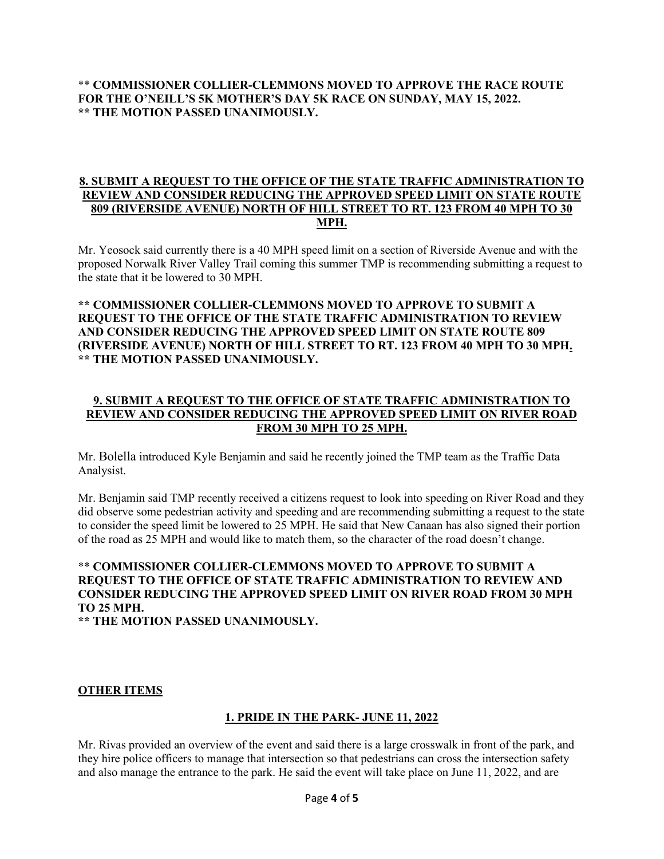### \*\* **COMMISSIONER COLLIER-CLEMMONS MOVED TO APPROVE THE RACE ROUTE FOR THE O'NEILL'S 5K MOTHER'S DAY 5K RACE ON SUNDAY, MAY 15, 2022. \*\* THE MOTION PASSED UNANIMOUSLY.**

#### **8. SUBMIT A REQUEST TO THE OFFICE OF THE STATE TRAFFIC ADMINISTRATION TO REVIEW AND CONSIDER REDUCING THE APPROVED SPEED LIMIT ON STATE ROUTE 809 (RIVERSIDE AVENUE) NORTH OF HILL STREET TO RT. 123 FROM 40 MPH TO 30 MPH.**

Mr. Yeosock said currently there is a 40 MPH speed limit on a section of Riverside Avenue and with the proposed Norwalk River Valley Trail coming this summer TMP is recommending submitting a request to the state that it be lowered to 30 MPH.

### **\*\* COMMISSIONER COLLIER-CLEMMONS MOVED TO APPROVE TO SUBMIT A REQUEST TO THE OFFICE OF THE STATE TRAFFIC ADMINISTRATION TO REVIEW AND CONSIDER REDUCING THE APPROVED SPEED LIMIT ON STATE ROUTE 809 (RIVERSIDE AVENUE) NORTH OF HILL STREET TO RT. 123 FROM 40 MPH TO 30 MPH. \*\* THE MOTION PASSED UNANIMOUSLY.**

# **9. SUBMIT A REQUEST TO THE OFFICE OF STATE TRAFFIC ADMINISTRATION TO REVIEW AND CONSIDER REDUCING THE APPROVED SPEED LIMIT ON RIVER ROAD FROM 30 MPH TO 25 MPH.**

Mr. Bolella introduced Kyle Benjamin and said he recently joined the TMP team as the Traffic Data Analysist.

Mr. Benjamin said TMP recently received a citizens request to look into speeding on River Road and they did observe some pedestrian activity and speeding and are recommending submitting a request to the state to consider the speed limit be lowered to 25 MPH. He said that New Canaan has also signed their portion of the road as 25 MPH and would like to match them, so the character of the road doesn't change.

# \*\* **COMMISSIONER COLLIER-CLEMMONS MOVED TO APPROVE TO SUBMIT A REQUEST TO THE OFFICE OF STATE TRAFFIC ADMINISTRATION TO REVIEW AND CONSIDER REDUCING THE APPROVED SPEED LIMIT ON RIVER ROAD FROM 30 MPH TO 25 MPH.**

**\*\* THE MOTION PASSED UNANIMOUSLY.**

# **OTHER ITEMS**

#### **1. PRIDE IN THE PARK- JUNE 11, 2022**

Mr. Rivas provided an overview of the event and said there is a large crosswalk in front of the park, and they hire police officers to manage that intersection so that pedestrians can cross the intersection safety and also manage the entrance to the park. He said the event will take place on June 11, 2022, and are